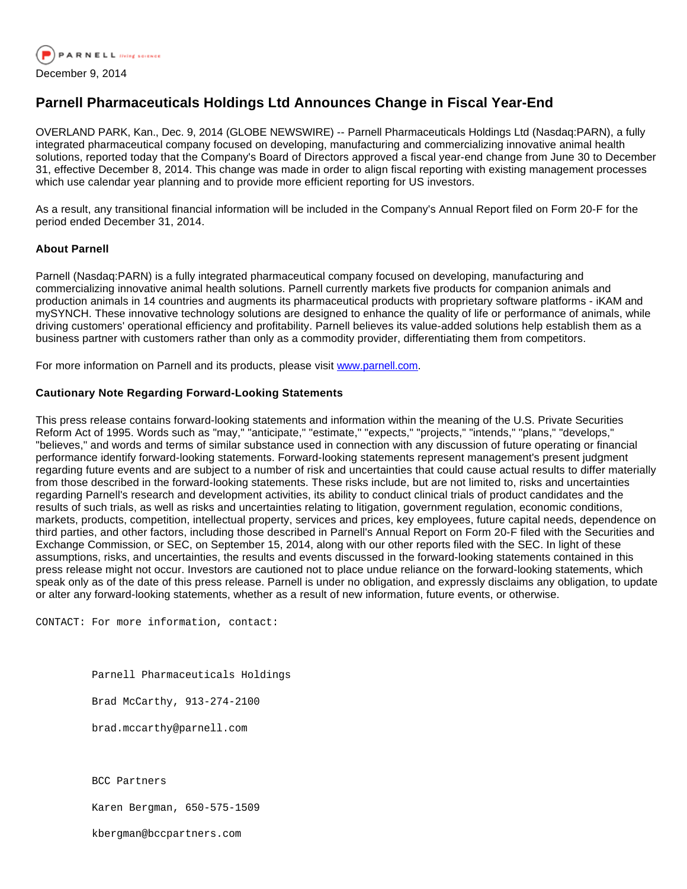

## **Parnell Pharmaceuticals Holdings Ltd Announces Change in Fiscal Year-End**

OVERLAND PARK, Kan., Dec. 9, 2014 (GLOBE NEWSWIRE) -- Parnell Pharmaceuticals Holdings Ltd (Nasdaq:PARN), a fully integrated pharmaceutical company focused on developing, manufacturing and commercializing innovative animal health solutions, reported today that the Company's Board of Directors approved a fiscal year-end change from June 30 to December 31, effective December 8, 2014. This change was made in order to align fiscal reporting with existing management processes which use calendar year planning and to provide more efficient reporting for US investors.

As a result, any transitional financial information will be included in the Company's Annual Report filed on Form 20-F for the period ended December 31, 2014.

## **About Parnell**

Parnell (Nasdaq:PARN) is a fully integrated pharmaceutical company focused on developing, manufacturing and commercializing innovative animal health solutions. Parnell currently markets five products for companion animals and production animals in 14 countries and augments its pharmaceutical products with proprietary software platforms - iKAM and mySYNCH. These innovative technology solutions are designed to enhance the quality of life or performance of animals, while driving customers' operational efficiency and profitability. Parnell believes its value-added solutions help establish them as a business partner with customers rather than only as a commodity provider, differentiating them from competitors.

For more information on Parnell and its products, please visit [www.parnell.com.](http://www.globenewswire.com/newsroom/ctr?d=10111732&l=5&a=www.parnell.com&u=http%3A%2F%2Fwww.parnell.com%2F)

## **Cautionary Note Regarding Forward-Looking Statements**

This press release contains forward-looking statements and information within the meaning of the U.S. Private Securities Reform Act of 1995. Words such as "may," "anticipate," "estimate," "expects," "projects," "intends," "plans," "develops," "believes," and words and terms of similar substance used in connection with any discussion of future operating or financial performance identify forward-looking statements. Forward-looking statements represent management's present judgment regarding future events and are subject to a number of risk and uncertainties that could cause actual results to differ materially from those described in the forward-looking statements. These risks include, but are not limited to, risks and uncertainties regarding Parnell's research and development activities, its ability to conduct clinical trials of product candidates and the results of such trials, as well as risks and uncertainties relating to litigation, government regulation, economic conditions, markets, products, competition, intellectual property, services and prices, key employees, future capital needs, dependence on third parties, and other factors, including those described in Parnell's Annual Report on Form 20-F filed with the Securities and Exchange Commission, or SEC, on September 15, 2014, along with our other reports filed with the SEC. In light of these assumptions, risks, and uncertainties, the results and events discussed in the forward-looking statements contained in this press release might not occur. Investors are cautioned not to place undue reliance on the forward-looking statements, which speak only as of the date of this press release. Parnell is under no obligation, and expressly disclaims any obligation, to update or alter any forward-looking statements, whether as a result of new information, future events, or otherwise.

CONTACT: For more information, contact:

Parnell Pharmaceuticals Holdings

Brad McCarthy, 913-274-2100

brad.mccarthy@parnell.com

BCC Partners

Karen Bergman, 650-575-1509

kbergman@bccpartners.com